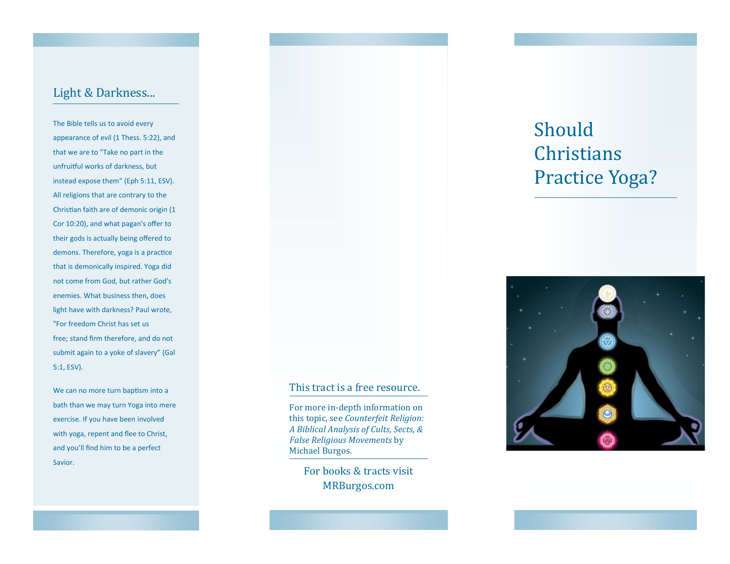## Light & Darkness...

The Bible tells us to avoid every appearance of evil (1 Thess. 5:22), and that we are to "Take no part in the unfruitful works of darkness, but instead expose them" (Eph 5:11, ESV). All religions that are contrary to the Christian faith are of demonic origin (1 Cor 10:20), and what pagan's offer to their gods is actually being offered to demons. Therefore, yoga is a practice that is demonically inspired. Yoga did not come from God, but rather God's enemies. What business then, does light have with darkness? Paul wrote, "For freedom Christ has set us free; stand firm therefore, and do not submit again to a yoke of slavery" (Gal 5:1, ESV).

We can no more turn baptism into a bath than we may turn Yoga into mere exercise. If you have been involved with yoga, repent and flee to Christ, and you'll find him to be a perfect Savior.

# Should **Christians** Practice Yoga?



#### This tract is a free resource.

For more in-depth information on this topic, see *Counterfeit Religion: A Biblical Analysis of Cults, Sects, & False Religious Movements* by Michael Burgos.

> For books & tracts visit MRBurgos.com